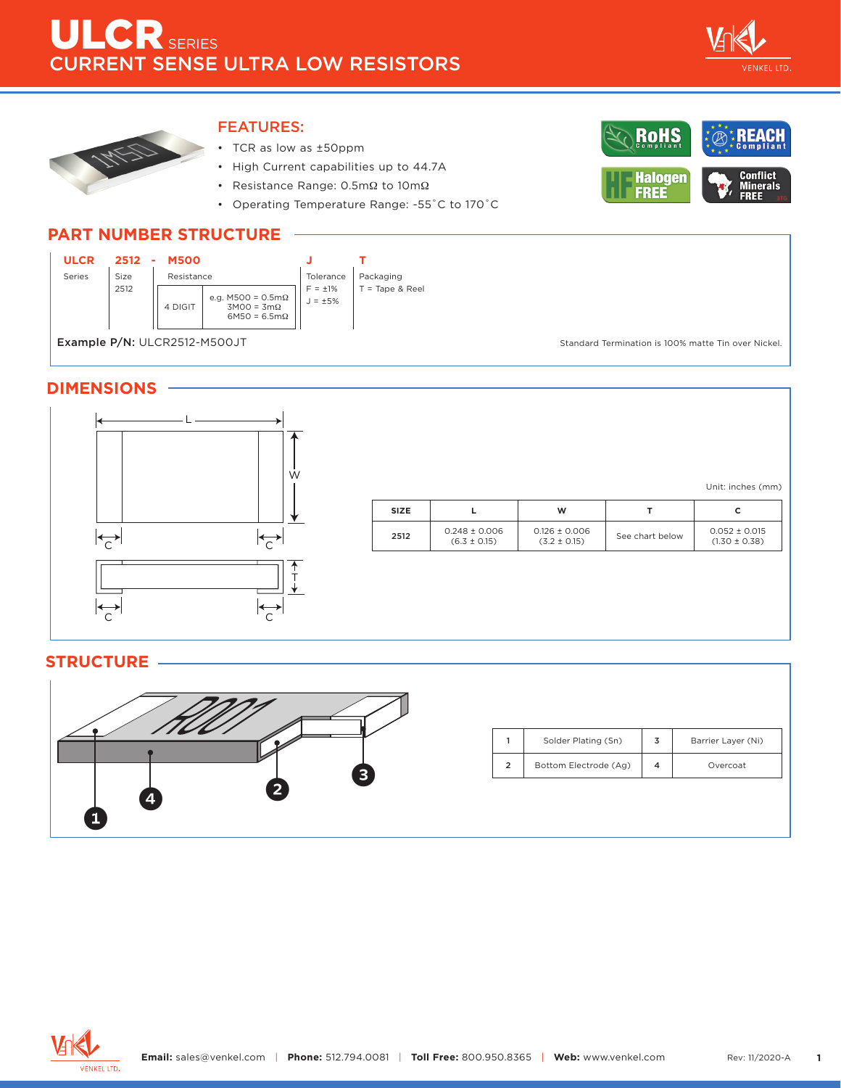

**Conflict<br>Minerals<br>FREE** 

RoHS

**Halogen** FREE



### FEATURES:

- TCR as low as ±50ppm
- High Current capabilities up to 44.7A
- Resistance Range: 0.5mΩ to 10mΩ
- Operating Temperature Range: -55˚C to 170˚C





### **DIMENSIONS**



### **STRUCTURE**



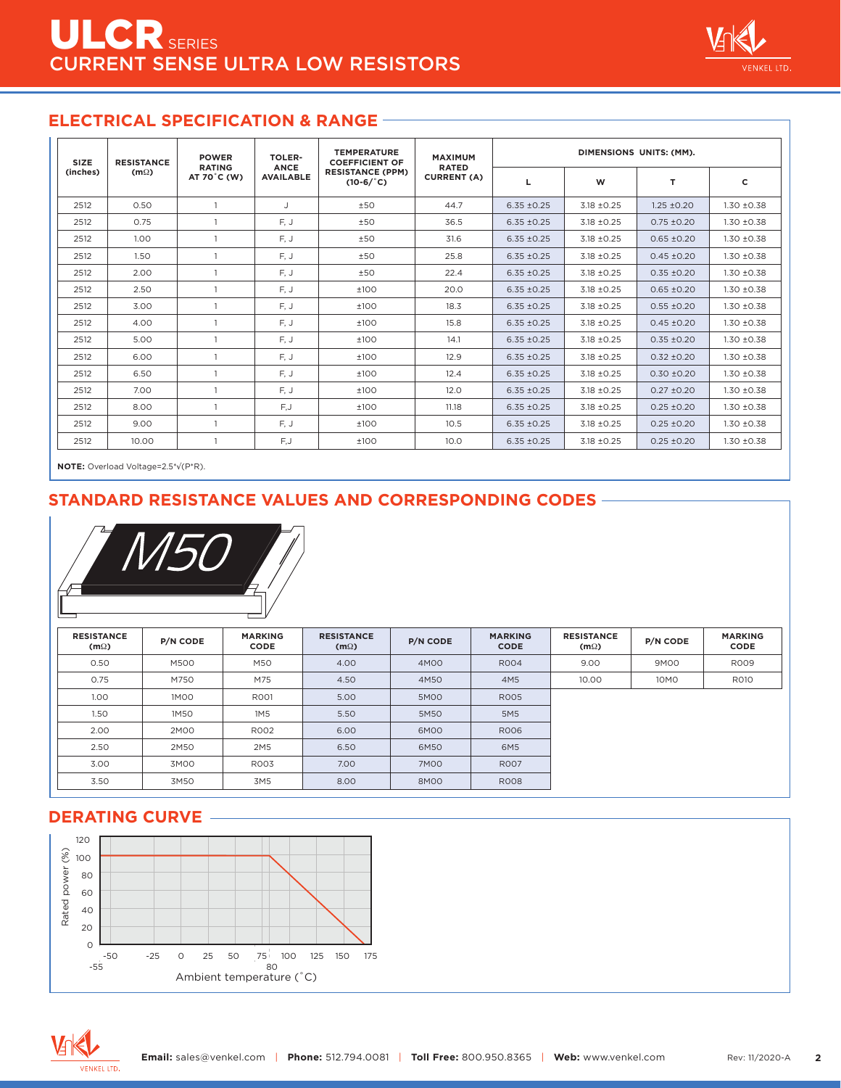

### **ELECTRICAL SPECIFICATION & RANGE**

| <b>SIZE</b><br>(inches) | <b>RESISTANCE</b><br>$(m\Omega)$ | <b>POWER</b><br><b>RATING</b><br>AT 70 °C (W) | <b>TOLER-</b><br><b>ANCE</b><br><b>AVAILABLE</b> | <b>TEMPERATURE</b><br><b>COEFFICIENT OF</b><br><b>RESISTANCE (PPM)</b><br>$(10-6)^{\circ}$ C) | <b>MAXIMUM</b><br><b>RATED</b><br><b>CURRENT (A)</b> | DIMENSIONS UNITS: (MM). |                 |                 |               |
|-------------------------|----------------------------------|-----------------------------------------------|--------------------------------------------------|-----------------------------------------------------------------------------------------------|------------------------------------------------------|-------------------------|-----------------|-----------------|---------------|
|                         |                                  |                                               |                                                  |                                                                                               |                                                      | L                       | W               | T               | c             |
| 2512                    | 0.50                             |                                               | $\mathbf{J}$                                     | ±50                                                                                           | 44.7                                                 | $6.35 \pm 0.25$         | $3.18 \pm 0.25$ | $1.25 \pm 0.20$ | $1.30 + 0.38$ |
| 2512                    | 0.75                             |                                               | F, J                                             | ±50                                                                                           | 36.5                                                 | $6.35 \pm 0.25$         | $3.18 \pm 0.25$ | $0.75 \pm 0.20$ | $1.30 + 0.38$ |
| 2512                    | 1.00                             |                                               | F, J                                             | ±50                                                                                           | 31.6                                                 | $6.35 \pm 0.25$         | $3.18 \pm 0.25$ | $0.65 \pm 0.20$ | $1.30 + 0.38$ |
| 2512                    | 1.50                             |                                               | F, J                                             | ±50                                                                                           | 25.8                                                 | $6.35 \pm 0.25$         | $3.18 \pm 0.25$ | $0.45 \pm 0.20$ | $1.30 + 0.38$ |
| 2512                    | 2.00                             |                                               | F, J                                             | ±50                                                                                           | 22.4                                                 | $6.35 \pm 0.25$         | $3.18 \pm 0.25$ | $0.35 \pm 0.20$ | $1.30 + 0.38$ |
| 2512                    | 2.50                             |                                               | F, J                                             | ±100                                                                                          | 20.0                                                 | $6.35 \pm 0.25$         | $3.18 \pm 0.25$ | $0.65 \pm 0.20$ | $1.30 + 0.38$ |
| 2512                    | 3.00                             |                                               | F, J                                             | ±100                                                                                          | 18.3                                                 | $6.35 \pm 0.25$         | $3.18 \pm 0.25$ | $0.55 \pm 0.20$ | $1.30 + 0.38$ |
| 2512                    | 4.00                             |                                               | F.J                                              | ±100                                                                                          | 15.8                                                 | $6.35 \pm 0.25$         | $3.18 \pm 0.25$ | $0.45 \pm 0.20$ | $1.30 + 0.38$ |
| 2512                    | 5.00                             |                                               | F, J                                             | ±100                                                                                          | 14.1                                                 | $6.35 \pm 0.25$         | $3.18 \pm 0.25$ | $0.35 \pm 0.20$ | $1.30 + 0.38$ |
| 2512                    | 6.00                             |                                               | F, J                                             | ±100                                                                                          | 12.9                                                 | $6.35 \pm 0.25$         | $3.18 \pm 0.25$ | $0.32 + 0.20$   | $1.30 + 0.38$ |
| 2512                    | 6.50                             |                                               | F, J                                             | ±100                                                                                          | 12.4                                                 | $6.35 \pm 0.25$         | $3.18 \pm 0.25$ | $0.30 \pm 0.20$ | $1.30 + 0.38$ |
| 2512                    | 7.00                             |                                               | F, J                                             | ±100                                                                                          | 12.0                                                 | $6.35 \pm 0.25$         | $3.18 \pm 0.25$ | $0.27 + 0.20$   | $1.30 + 0.38$ |
| 2512                    | 8.00                             |                                               | F,J                                              | $+100$                                                                                        | 11.18                                                | $6.35 + 0.25$           | $3.18 \pm 0.25$ | $0.25 \pm 0.20$ | $1.30 + 0.38$ |
| 2512                    | 9.00                             |                                               | F, J                                             | ±100                                                                                          | 10.5                                                 | $6.35 \pm 0.25$         | $3.18 \pm 0.25$ | $0.25 \pm 0.20$ | $1.30 + 0.38$ |
| 2512                    | 10.00                            |                                               | F,J                                              | ±100                                                                                          | 10.0                                                 | $6.35 \pm 0.25$         | $3.18 \pm 0.25$ | $0.25 \pm 0.20$ | $1.30 + 0.38$ |

**NOTE:** Overload Voltage=2.5\*√ (P\*R).

### **STANDARD RESISTANCE VALUES AND CORRESPONDING CODES**



| <b>RESISTANCE</b><br>$(m\Omega)$ | P/N CODE    | <b>MARKING</b><br><b>CODE</b> | <b>RESISTANCE</b><br>$(m\Omega)$ | <b>P/N CODE</b> | <b>MARKING</b><br><b>CODE</b> | <b>RESISTANCE</b><br>$(m\Omega)$ | <b>P/N CODE</b> | <b>MARKING</b><br><b>CODE</b> |
|----------------------------------|-------------|-------------------------------|----------------------------------|-----------------|-------------------------------|----------------------------------|-----------------|-------------------------------|
| 0.50                             | M500        | M50                           | 4.00                             | 4M00            | <b>RO04</b>                   | 9.00                             | 9M00            | <b>ROO9</b>                   |
| 0.75                             | M750        | M75                           | 4.50                             | 4M50            | 4M5                           | 10.00                            | 10M0            | <b>R010</b>                   |
| 1.00                             | <b>1MOO</b> | R001                          | 5.00                             | 5M00            | <b>RO05</b>                   |                                  |                 |                               |
| 1.50                             | 1M50        | 1M5                           | 5.50                             | 5M50            | 5M5                           |                                  |                 |                               |
| 2.00                             | 2M00        | <b>RO02</b>                   | 6.00                             | 6M00            | <b>ROO6</b>                   |                                  |                 |                               |
| 2.50                             | 2M50        | 2M <sub>5</sub>               | 6.50                             | 6M50            | 6M5                           |                                  |                 |                               |
| 3.00                             | 3M00        | <b>RO03</b>                   | 7.00                             | <b>7M00</b>     | <b>RO07</b>                   |                                  |                 |                               |
| 3.50                             | 3M50        | 3M5                           | 8.00                             | 8M00            | <b>ROO8</b>                   |                                  |                 |                               |

### **DERATING CURVE**



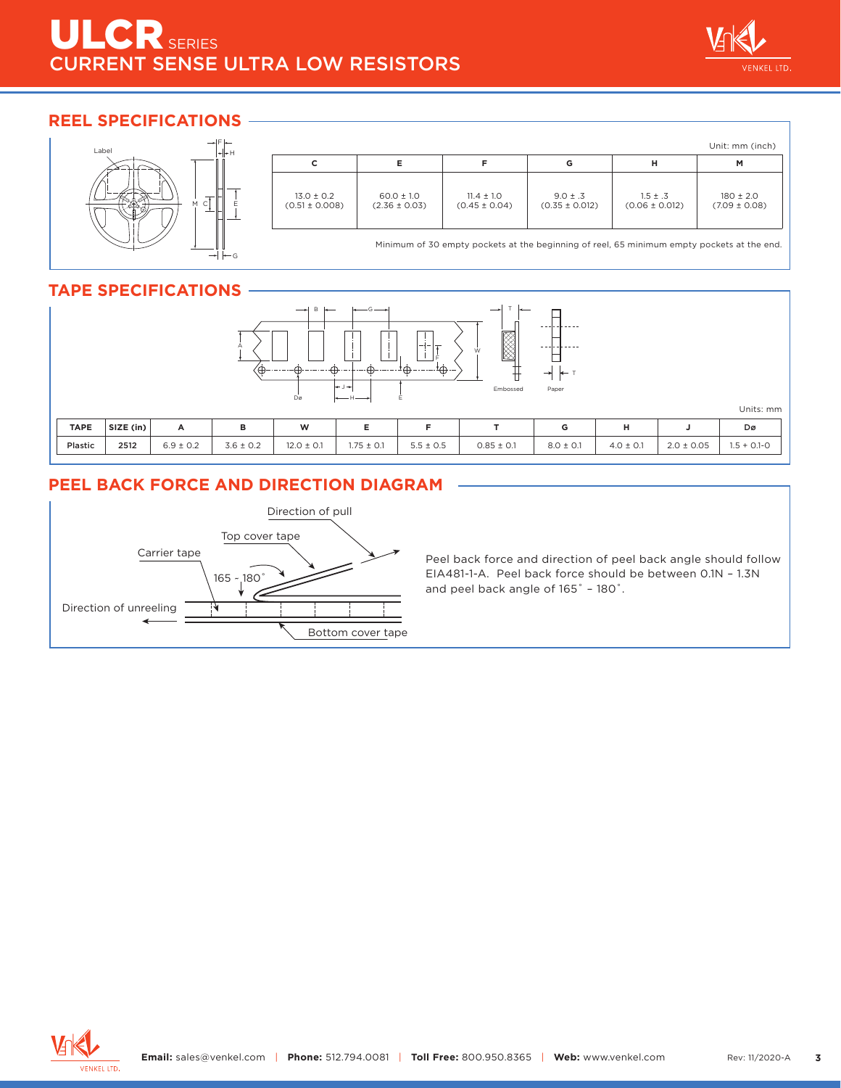# ILCR SERIES CURRENT SENSE ULTRA LOW RESISTORS



### **REEL SPECIFICATIONS**



|                                      |                                     |                                     |                                    |                                    | Unit: mm (inch)                    |
|--------------------------------------|-------------------------------------|-------------------------------------|------------------------------------|------------------------------------|------------------------------------|
| с                                    | Е                                   |                                     | G                                  | н                                  | M                                  |
| $13.0 \pm 0.2$<br>$(0.51 \pm 0.008)$ | $60.0 \pm 1.0$<br>$(2.36 \pm 0.03)$ | $11.4 \pm 1.0$<br>$(0.45 \pm 0.04)$ | $9.0 \pm .3$<br>$(0.35 \pm 0.012)$ | $1.5 \pm .3$<br>$(0.06 \pm 0.012)$ | $180 \pm 2.0$<br>$(7.09 \pm 0.08)$ |

Minimum of 30 empty pockets at the beginning of reel, 65 minimum empty pockets at the end.

## **TAPE SPECIFICATIONS**



## **PEEL BACK FORCE AND DIRECTION DIAGRAM**



Peel back force and direction of peel back angle should follow EIA481-1-A. Peel back force should be between 0.1N – 1.3N and peel back angle of 165˚ – 180˚.